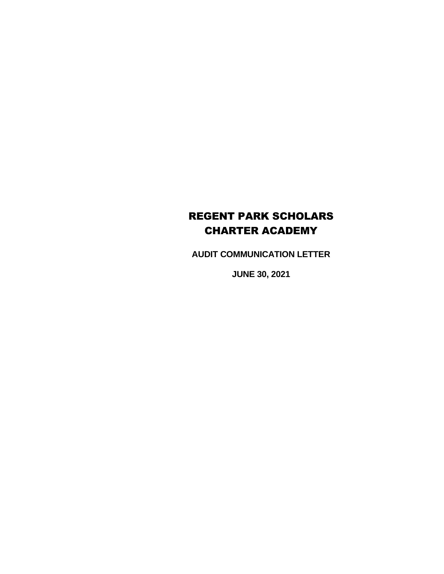# REGENT PARK SCHOLARS CHARTER ACADEMY

**AUDIT COMMUNICATION LETTER**

**JUNE 30, 2021**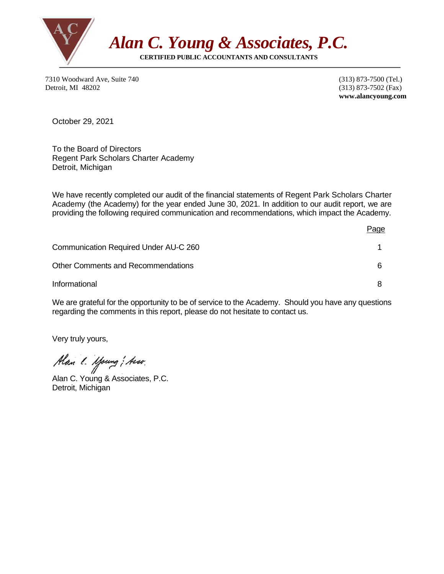

7310 Woodward Ave, Suite 740 (313) 873-7500 (Tel.) Detroit, MI 48202 (313) 873-7502 (Fax)

 **www.alancyoung.com**

October 29, 2021

To the Board of Directors Regent Park Scholars Charter Academy Detroit, Michigan

We have recently completed our audit of the financial statements of Regent Park Scholars Charter Academy (the Academy) for the year ended June 30, 2021. In addition to our audit report, we are providing the following required communication and recommendations, which impact the Academy.

|                                       | Page |
|---------------------------------------|------|
| Communication Required Under AU-C 260 |      |
| Other Comments and Recommendations    |      |
| Informational                         |      |

We are grateful for the opportunity to be of service to the Academy. Should you have any questions regarding the comments in this report, please do not hesitate to contact us.

Very truly yours,

Alan l. Moung; Asso.

Alan C. Young & Associates, P.C. Detroit, Michigan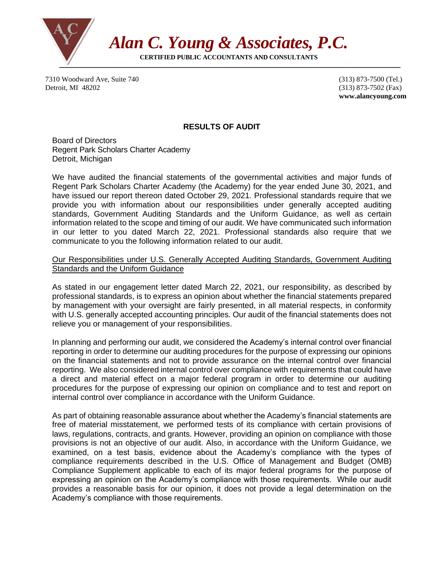

7310 Woodward Ave, Suite 740 (313) 873-7500 (Tel.) Detroit, MI 48202 (313) 873-7502 (Fax)

 **www.alancyoung.com**

## **RESULTS OF AUDIT**

Board of Directors Regent Park Scholars Charter Academy Detroit, Michigan

We have audited the financial statements of the governmental activities and major funds of Regent Park Scholars Charter Academy (the Academy) for the year ended June 30, 2021, and have issued our report thereon dated October 29, 2021. Professional standards require that we provide you with information about our responsibilities under generally accepted auditing standards, Government Auditing Standards and the Uniform Guidance, as well as certain information related to the scope and timing of our audit. We have communicated such information in our letter to you dated March 22, 2021. Professional standards also require that we communicate to you the following information related to our audit.

#### Our Responsibilities under U.S. Generally Accepted Auditing Standards, Government Auditing Standards and the Uniform Guidance

As stated in our engagement letter dated March 22, 2021, our responsibility, as described by professional standards, is to express an opinion about whether the financial statements prepared by management with your oversight are fairly presented, in all material respects, in conformity with U.S. generally accepted accounting principles. Our audit of the financial statements does not relieve you or management of your responsibilities.

In planning and performing our audit, we considered the Academy's internal control over financial reporting in order to determine our auditing procedures for the purpose of expressing our opinions on the financial statements and not to provide assurance on the internal control over financial reporting. We also considered internal control over compliance with requirements that could have a direct and material effect on a major federal program in order to determine our auditing procedures for the purpose of expressing our opinion on compliance and to test and report on internal control over compliance in accordance with the Uniform Guidance.

As part of obtaining reasonable assurance about whether the Academy's financial statements are free of material misstatement, we performed tests of its compliance with certain provisions of laws, regulations, contracts, and grants. However, providing an opinion on compliance with those provisions is not an objective of our audit. Also, in accordance with the Uniform Guidance, we examined, on a test basis, evidence about the Academy's compliance with the types of compliance requirements described in the U.S. Office of Management and Budget (OMB) Compliance Supplement applicable to each of its major federal programs for the purpose of expressing an opinion on the Academy's compliance with those requirements. While our audit provides a reasonable basis for our opinion, it does not provide a legal determination on the Academy's compliance with those requirements.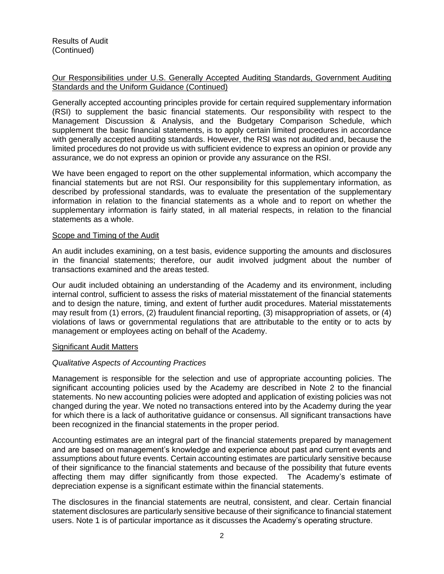## Our Responsibilities under U.S. Generally Accepted Auditing Standards, Government Auditing Standards and the Uniform Guidance (Continued)

Generally accepted accounting principles provide for certain required supplementary information (RSI) to supplement the basic financial statements. Our responsibility with respect to the Management Discussion & Analysis, and the Budgetary Comparison Schedule, which supplement the basic financial statements, is to apply certain limited procedures in accordance with generally accepted auditing standards. However, the RSI was not audited and, because the limited procedures do not provide us with sufficient evidence to express an opinion or provide any assurance, we do not express an opinion or provide any assurance on the RSI.

We have been engaged to report on the other supplemental information, which accompany the financial statements but are not RSI. Our responsibility for this supplementary information, as described by professional standards, was to evaluate the presentation of the supplementary information in relation to the financial statements as a whole and to report on whether the supplementary information is fairly stated, in all material respects, in relation to the financial statements as a whole.

#### Scope and Timing of the Audit

An audit includes examining, on a test basis, evidence supporting the amounts and disclosures in the financial statements; therefore, our audit involved judgment about the number of transactions examined and the areas tested.

Our audit included obtaining an understanding of the Academy and its environment, including internal control, sufficient to assess the risks of material misstatement of the financial statements and to design the nature, timing, and extent of further audit procedures. Material misstatements may result from (1) errors, (2) fraudulent financial reporting, (3) misappropriation of assets, or (4) violations of laws or governmental regulations that are attributable to the entity or to acts by management or employees acting on behalf of the Academy.

#### Significant Audit Matters

#### *Qualitative Aspects of Accounting Practices*

Management is responsible for the selection and use of appropriate accounting policies. The significant accounting policies used by the Academy are described in Note 2 to the financial statements. No new accounting policies were adopted and application of existing policies was not changed during the year. We noted no transactions entered into by the Academy during the year for which there is a lack of authoritative guidance or consensus. All significant transactions have been recognized in the financial statements in the proper period.

Accounting estimates are an integral part of the financial statements prepared by management and are based on management's knowledge and experience about past and current events and assumptions about future events. Certain accounting estimates are particularly sensitive because of their significance to the financial statements and because of the possibility that future events affecting them may differ significantly from those expected. The Academy's estimate of depreciation expense is a significant estimate within the financial statements.

The disclosures in the financial statements are neutral, consistent, and clear. Certain financial statement disclosures are particularly sensitive because of their significance to financial statement users. Note 1 is of particular importance as it discusses the Academy's operating structure.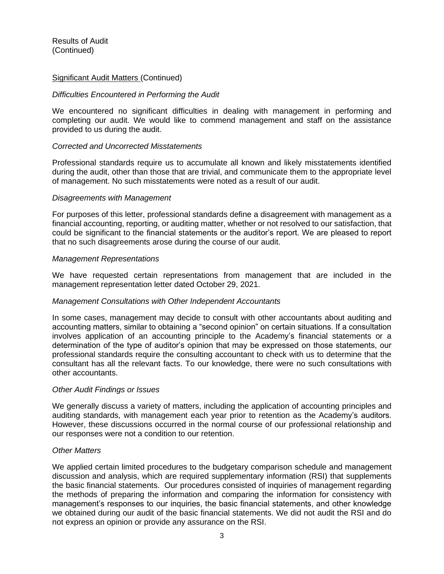Results of Audit (Continued)

#### Significant Audit Matters (Continued)

#### *Difficulties Encountered in Performing the Audit*

We encountered no significant difficulties in dealing with management in performing and completing our audit. We would like to commend management and staff on the assistance provided to us during the audit.

#### *Corrected and Uncorrected Misstatements*

Professional standards require us to accumulate all known and likely misstatements identified during the audit, other than those that are trivial, and communicate them to the appropriate level of management. No such misstatements were noted as a result of our audit.

#### *Disagreements with Management*

For purposes of this letter, professional standards define a disagreement with management as a financial accounting, reporting, or auditing matter, whether or not resolved to our satisfaction, that could be significant to the financial statements or the auditor's report. We are pleased to report that no such disagreements arose during the course of our audit.

#### *Management Representations*

We have requested certain representations from management that are included in the management representation letter dated October 29, 2021.

#### *Management Consultations with Other Independent Accountants*

In some cases, management may decide to consult with other accountants about auditing and accounting matters, similar to obtaining a "second opinion" on certain situations. If a consultation involves application of an accounting principle to the Academy's financial statements or a determination of the type of auditor's opinion that may be expressed on those statements, our professional standards require the consulting accountant to check with us to determine that the consultant has all the relevant facts. To our knowledge, there were no such consultations with other accountants.

#### *Other Audit Findings or Issues*

We generally discuss a variety of matters, including the application of accounting principles and auditing standards, with management each year prior to retention as the Academy's auditors. However, these discussions occurred in the normal course of our professional relationship and our responses were not a condition to our retention.

#### *Other Matters*

We applied certain limited procedures to the budgetary comparison schedule and management discussion and analysis, which are required supplementary information (RSI) that supplements the basic financial statements. Our procedures consisted of inquiries of management regarding the methods of preparing the information and comparing the information for consistency with management's responses to our inquiries, the basic financial statements, and other knowledge we obtained during our audit of the basic financial statements. We did not audit the RSI and do not express an opinion or provide any assurance on the RSI.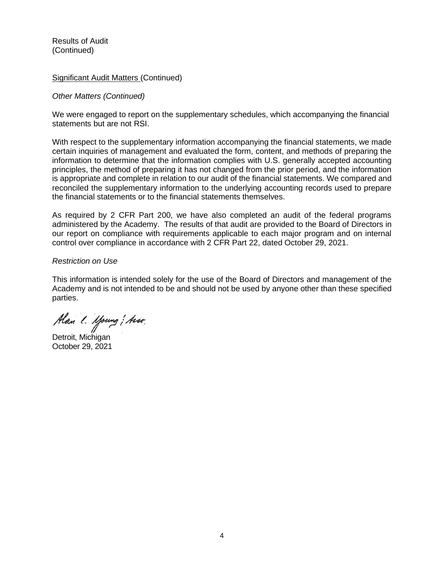Results of Audit (Continued)

#### Significant Audit Matters (Continued)

#### *Other Matters (Continued)*

We were engaged to report on the supplementary schedules, which accompanying the financial statements but are not RSI.

With respect to the supplementary information accompanying the financial statements, we made certain inquiries of management and evaluated the form, content, and methods of preparing the information to determine that the information complies with U.S. generally accepted accounting principles, the method of preparing it has not changed from the prior period, and the information is appropriate and complete in relation to our audit of the financial statements. We compared and reconciled the supplementary information to the underlying accounting records used to prepare the financial statements or to the financial statements themselves.

As required by 2 CFR Part 200, we have also completed an audit of the federal programs administered by the Academy. The results of that audit are provided to the Board of Directors in our report on compliance with requirements applicable to each major program and on internal control over compliance in accordance with 2 CFR Part 22, dated October 29, 2021.

### *Restriction on Use*

This information is intended solely for the use of the Board of Directors and management of the Academy and is not intended to be and should not be used by anyone other than these specified parties.

Alan l. Moung; Asso.

Detroit, Michigan October 29, 2021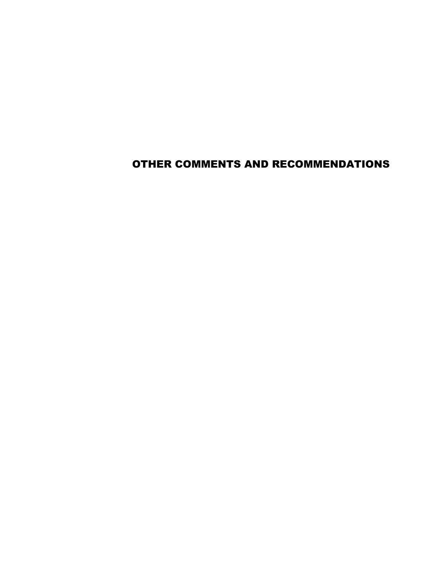OTHER COMMENTS AND RECOMMENDATIONS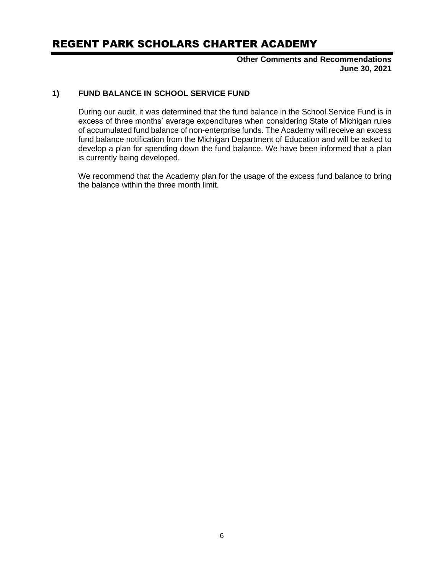## REGENT PARK SCHOLARS CHARTER ACADEMY

**Other Comments and Recommendations June 30, 2021**

## **1) FUND BALANCE IN SCHOOL SERVICE FUND**

During our audit, it was determined that the fund balance in the School Service Fund is in excess of three months' average expenditures when considering State of Michigan rules of accumulated fund balance of non-enterprise funds. The Academy will receive an excess fund balance notification from the Michigan Department of Education and will be asked to develop a plan for spending down the fund balance. We have been informed that a plan is currently being developed.

We recommend that the Academy plan for the usage of the excess fund balance to bring the balance within the three month limit.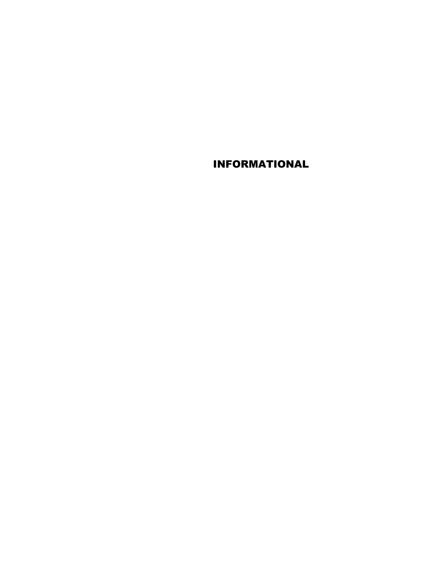INFORMATIONAL